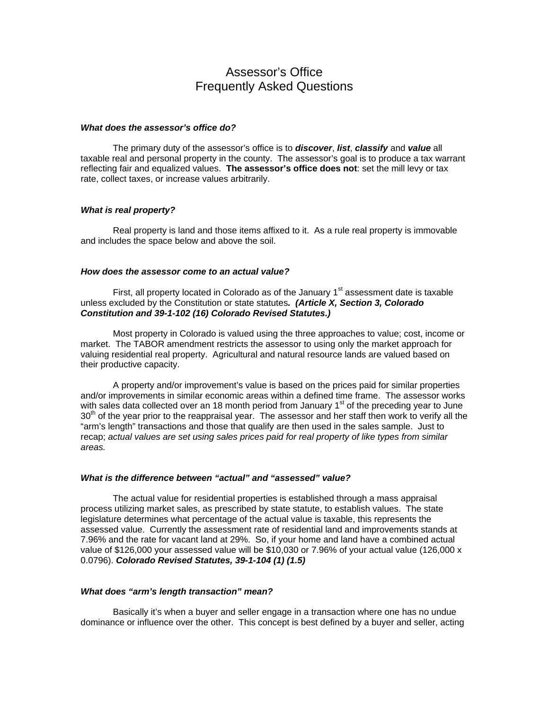# Assessor's Office Frequently Asked Questions

### *What does the assessor's office do?*

 The primary duty of the assessor's office is to *discover*, *list*, *classify* and *value* all taxable real and personal property in the county. The assessor's goal is to produce a tax warrant reflecting fair and equalized values. **The assessor's office does not**: set the mill levy or tax rate, collect taxes, or increase values arbitrarily.

#### *What is real property?*

 Real property is land and those items affixed to it. As a rule real property is immovable and includes the space below and above the soil.

## *How does the assessor come to an actual value?*

First, all property located in Colorado as of the January  $1<sup>st</sup>$  assessment date is taxable unless excluded by the Constitution or state statutes*. (Article X, Section 3, Colorado Constitution and 39-1-102 (16) Colorado Revised Statutes.)* 

Most property in Colorado is valued using the three approaches to value; cost, income or market. The TABOR amendment restricts the assessor to using only the market approach for valuing residential real property. Agricultural and natural resource lands are valued based on their productive capacity.

 A property and/or improvement's value is based on the prices paid for similar properties and/or improvements in similar economic areas within a defined time frame. The assessor works with sales data collected over an 18 month period from January  $1<sup>st</sup>$  of the preceding year to June  $30<sup>th</sup>$  of the year prior to the reappraisal year. The assessor and her staff then work to verify all the "arm's length" transactions and those that qualify are then used in the sales sample. Just to recap; *actual values are set using sales prices paid for real property of like types from similar areas.* 

# *What is the difference between "actual" and "assessed" value?*

 The actual value for residential properties is established through a mass appraisal process utilizing market sales, as prescribed by state statute, to establish values. The state legislature determines what percentage of the actual value is taxable, this represents the assessed value. Currently the assessment rate of residential land and improvements stands at 7.96% and the rate for vacant land at 29%. So, if your home and land have a combined actual value of \$126,000 your assessed value will be \$10,030 or 7.96% of your actual value (126,000 x 0.0796). *Colorado Revised Statutes, 39-1-104 (1) (1.5)* 

## *What does "arm's length transaction" mean?*

 Basically it's when a buyer and seller engage in a transaction where one has no undue dominance or influence over the other. This concept is best defined by a buyer and seller, acting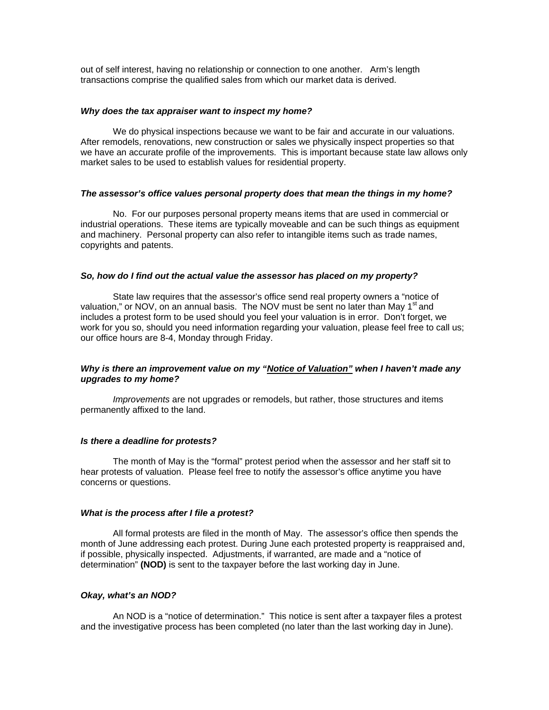out of self interest, having no relationship or connection to one another. Arm's length transactions comprise the qualified sales from which our market data is derived.

### *Why does the tax appraiser want to inspect my home?*

We do physical inspections because we want to be fair and accurate in our valuations. After remodels, renovations, new construction or sales we physically inspect properties so that we have an accurate profile of the improvements. This is important because state law allows only market sales to be used to establish values for residential property.

## *The assessor's office values personal property does that mean the things in my home?*

 No. For our purposes personal property means items that are used in commercial or industrial operations. These items are typically moveable and can be such things as equipment and machinery. Personal property can also refer to intangible items such as trade names, copyrights and patents.

## *So, how do I find out the actual value the assessor has placed on my property?*

 State law requires that the assessor's office send real property owners a "notice of valuation," or NOV, on an annual basis. The NOV must be sent no later than May 1<sup>st</sup> and includes a protest form to be used should you feel your valuation is in error. Don't forget, we work for you so, should you need information regarding your valuation, please feel free to call us; our office hours are 8-4, Monday through Friday.

## *Why is there an improvement value on my "Notice of Valuation" when I haven't made any upgrades to my home?*

*Improvements* are not upgrades or remodels, but rather, those structures and items permanently affixed to the land.

### *Is there a deadline for protests?*

 The month of May is the "formal" protest period when the assessor and her staff sit to hear protests of valuation. Please feel free to notify the assessor's office anytime you have concerns or questions.

#### *What is the process after I file a protest?*

 All formal protests are filed in the month of May. The assessor's office then spends the month of June addressing each protest. During June each protested property is reappraised and, if possible, physically inspected. Adjustments, if warranted, are made and a "notice of determination" **(NOD)** is sent to the taxpayer before the last working day in June.

## *Okay, what's an NOD?*

An NOD is a "notice of determination." This notice is sent after a taxpayer files a protest and the investigative process has been completed (no later than the last working day in June).